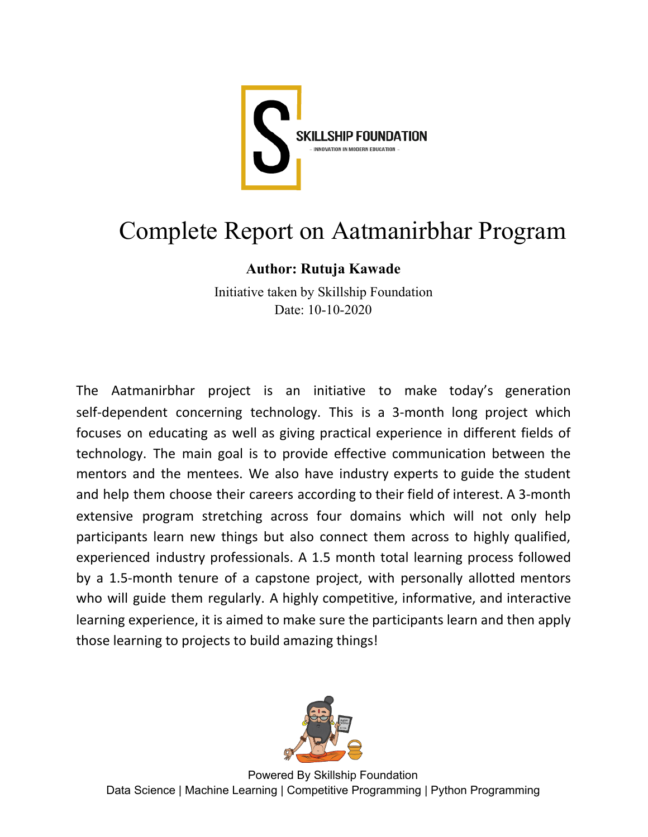

## Complete Report on Aatmanirbhar Program

## **Author: Rutuja Kawade**

Initiative taken by Skillship Foundation Date: 10-10-2020

The Aatmanirbhar project is an initiative to make today's generation self-dependent concerning technology. This is a 3-month long project which focuses on educating as well as giving practical experience in different fields of technology. The main goal is to provide effective communication between the mentors and the mentees. We also have industry experts to guide the student and help them choose their careers according to their field of interest. A 3-month extensive program stretching across four domains which will not only help participants learn new things but also connect them across to highly qualified, experienced industry professionals. A 1.5 month total learning process followed by a 1.5-month tenure of a capstone project, with personally allotted mentors who will guide them regularly. A highly competitive, informative, and interactive learning experience, it is aimed to make sure the participants learn and then apply those learning to projects to build amazing things!

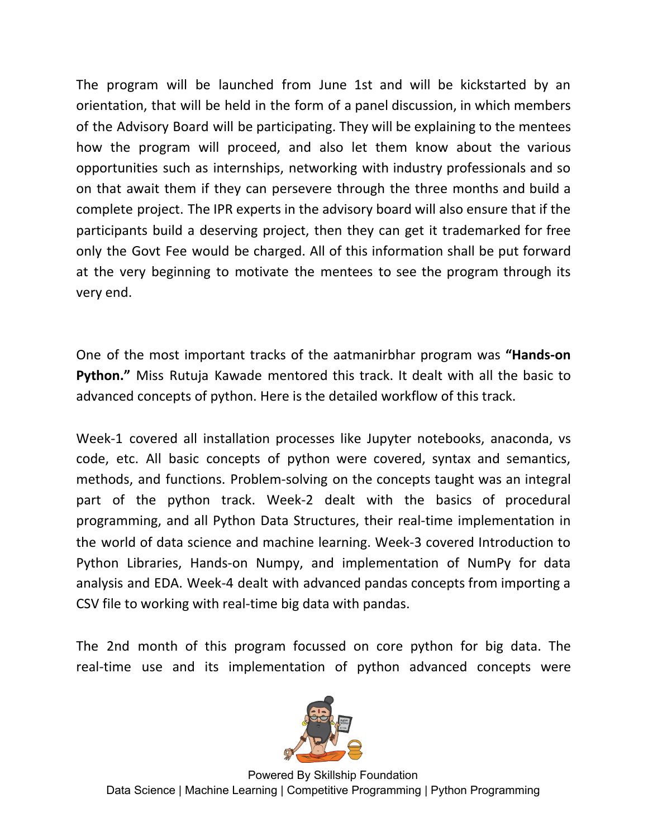The program will be launched from June 1st and will be kickstarted by an orientation, that will be held in the form of a panel discussion, in which members of the Advisory Board will be participating. They will be explaining to the mentees how the program will proceed, and also let them know about the various opportunities such as internships, networking with industry professionals and so on that await them if they can persevere through the three months and build a complete project. The IPR experts in the advisory board will also ensure that if the participants build a deserving project, then they can get it trademarked for free only the Govt Fee would be charged. All of this information shall be put forward at the very beginning to motivate the mentees to see the program through its very end.

One of the most important tracks of the aatmanirbhar program was **"Hands-on Python."** Miss Rutuja Kawade mentored this track. It dealt with all the basic to advanced concepts of python. Here is the detailed workflow of this track.

Week-1 covered all installation processes like Jupyter notebooks, anaconda, vs code, etc. All basic concepts of python were covered, syntax and semantics, methods, and functions. Problem-solving on the concepts taught was an integral part of the python track. Week-2 dealt with the basics of procedural programming, and all Python Data Structures, their real-time implementation in the world of data science and machine learning. Week-3 covered Introduction to Python Libraries, Hands-on Numpy, and implementation of NumPy for data analysis and EDA. Week-4 dealt with advanced pandas concepts from importing a CSV file to working with real-time big data with pandas.

The 2nd month of this program focussed on core python for big data. The real-time use and its implementation of python advanced concepts were

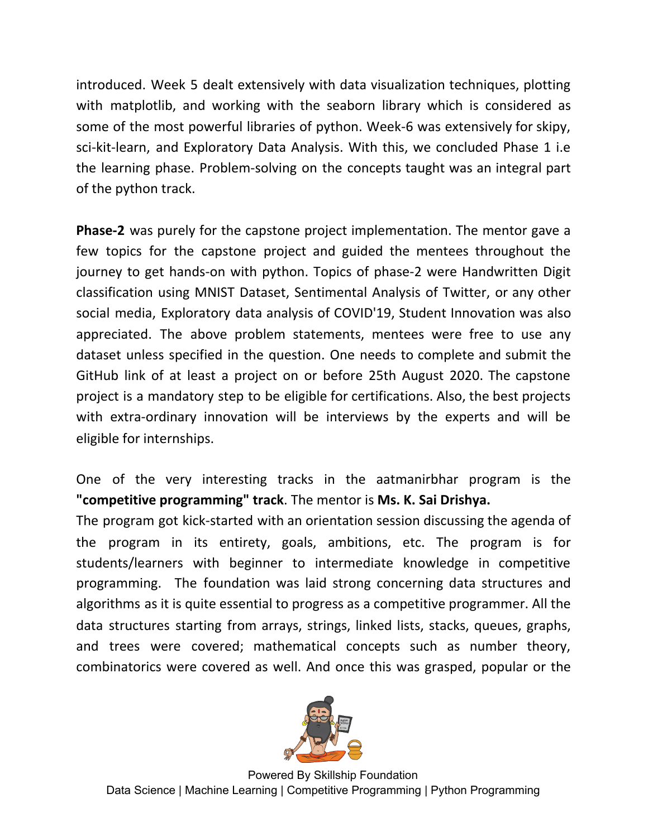introduced. Week 5 dealt extensively with data visualization techniques, plotting with matplotlib, and working with the seaborn library which is considered as some of the most powerful libraries of python. Week-6 was extensively for skipy, sci-kit-learn, and Exploratory Data Analysis. With this, we concluded Phase 1 i.e the learning phase. Problem-solving on the concepts taught was an integral part of the python track.

**Phase-2** was purely for the capstone project implementation. The mentor gave a few topics for the capstone project and guided the mentees throughout the journey to get hands-on with python. Topics of phase-2 were Handwritten Digit classification using MNIST Dataset, Sentimental Analysis of Twitter, or any other social media, Exploratory data analysis of COVID'19, Student Innovation was also appreciated. The above problem statements, mentees were free to use any dataset unless specified in the question. One needs to complete and submit the GitHub link of at least a project on or before 25th August 2020. The capstone project is a mandatory step to be eligible for certifications. Also, the best projects with extra-ordinary innovation will be interviews by the experts and will be eligible for internships.

One of the very interesting tracks in the aatmanirbhar program is the **"competitive programming" track**. The mentor is **Ms. K. Sai Drishya.**

The program got kick-started with an orientation session discussing the agenda of the program in its entirety, goals, ambitions, etc. The program is for students/learners with beginner to intermediate knowledge in competitive programming. The foundation was laid strong concerning data structures and algorithms as it is quite essential to progress as a competitive programmer. All the data structures starting from arrays, strings, linked lists, stacks, queues, graphs, and trees were covered; mathematical concepts such as number theory, combinatorics were covered as well. And once this was grasped, popular or the

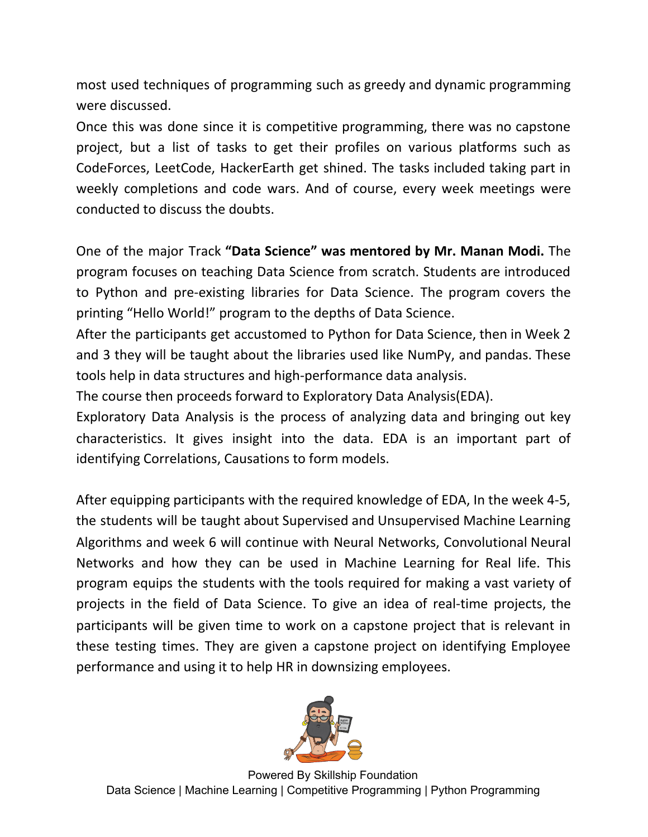most used techniques of programming such as greedy and dynamic programming were discussed.

Once this was done since it is competitive programming, there was no capstone project, but a list of tasks to get their profiles on various platforms such as CodeForces, LeetCode, HackerEarth get shined. The tasks included taking part in weekly completions and code wars. And of course, every week meetings were conducted to discuss the doubts.

One of the major Track **"Data Science" was mentored by Mr. Manan Modi.** The program focuses on teaching Data Science from scratch. Students are introduced to Python and pre-existing libraries for Data Science. The program covers the printing "Hello World!" program to the depths of Data Science.

After the participants get accustomed to Python for Data Science, then in Week 2 and 3 they will be taught about the libraries used like NumPy, and pandas. These tools help in data structures and high-performance data analysis.

The course then proceeds forward to Exploratory Data Analysis(EDA).

Exploratory Data Analysis is the process of analyzing data and bringing out key characteristics. It gives insight into the data. EDA is an important part of identifying Correlations, Causations to form models.

After equipping participants with the required knowledge of EDA, In the week 4-5, the students will be taught about Supervised and Unsupervised Machine Learning Algorithms and week 6 will continue with Neural Networks, Convolutional Neural Networks and how they can be used in Machine Learning for Real life. This program equips the students with the tools required for making a vast variety of projects in the field of Data Science. To give an idea of real-time projects, the participants will be given time to work on a capstone project that is relevant in these testing times. They are given a capstone project on identifying Employee performance and using it to help HR in downsizing employees.